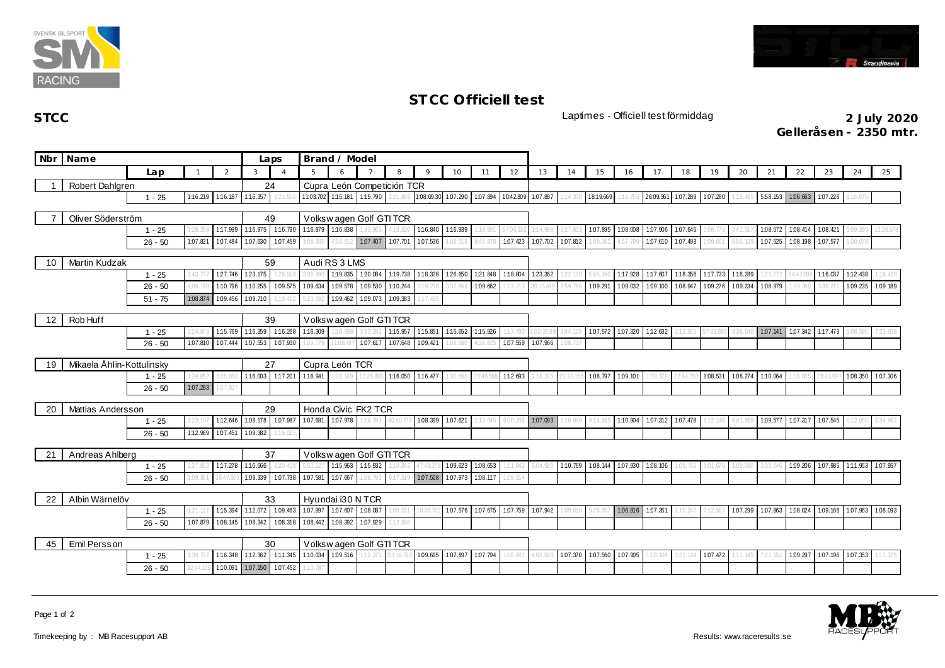



## **ST CC Officiell test**

**STCC** Laptimes - Officiell test förmiddag **2 July 2020**

**Ge lleråsen - 2350 mtr.**

|                           | Nbr Name                                                         |           |                            | Laps                    |                            | Brand / Model        |                             |                   |                   |                            |                     |          |          |                    |          |          |                   |           |                   |          |          |          |          |                            |                   |          |          |
|---------------------------|------------------------------------------------------------------|-----------|----------------------------|-------------------------|----------------------------|----------------------|-----------------------------|-------------------|-------------------|----------------------------|---------------------|----------|----------|--------------------|----------|----------|-------------------|-----------|-------------------|----------|----------|----------|----------|----------------------------|-------------------|----------|----------|
|                           |                                                                  | Lap       |                            | 2                       | $\mathbf{3}$               | $\overline{4}$       | 5                           | 6                 |                   | 8                          | $\circ$             | 10       | 11       | 12                 | 13       | 14       | 15                | 16        | 17                | 18       | 19       | 20       | 21       | 22                         | 23                | 24       | 25       |
|                           | Robert Dahlgren                                                  |           |                            |                         | 24                         |                      |                             |                   |                   | Cupra León Competición TCR |                     |          |          |                    |          |          |                   |           |                   |          |          |          |          |                            |                   |          |          |
|                           |                                                                  | $1 - 25$  | 1:16.219 1:16.187 1:16.357 |                         |                            | 1:21.50              | 11:03.702 1:15.181 1:15.790 |                   |                   | 1:21.869                   | 1.08:09.30 1.07.290 |          | 1:07.894 | 10:42.809 1:07.887 |          | 1:14.338 | 18:19.669         | $-12.753$ | 26:09.361         | 1.07.289 | 1.07.280 | 1:15.465 |          | 558.153 1.06.663           | 1:07.228          | 1:16.07  |          |
| Oliver Söderström         |                                                                  |           |                            |                         | 49                         |                      | Volksw agen Golf GTI TCR    |                   |                   |                            |                     |          |          |                    |          |          |                   |           |                   |          |          |          |          |                            |                   |          |          |
|                           |                                                                  | $1 - 25$  | 1:28.268                   |                         | 1:17.999 1:16.975 1:16.790 |                      | 1:16.879 1:16.838 1:33.965  |                   |                   | 4:13.52                    | 1:16.840            | 1:16.939 | 1:18.901 | 57:06.3            | 1:14.998 | 3:27.61  | 1.07.895 1.08.008 |           | 1.07.906          | 107.645  | 1:08.773 | 3:42.01  | 1:08.572 | 1.08.414                   | 1:08.421          | 1:09.359 | 12:26.57 |
|                           |                                                                  | $26 - 50$ | 1:07.821                   | 1.07.484                | 1.07.630                   | 1:07.459             | :08.665                     | 456.612           | 1.07.407          | 1.07.701                   | 1.07.536            | 1:09.016 | 4:40.878 | 1.07.423           | 1.07.702 | 1:07.812 | 1:09.36           | 4:57.799  | 107.610           | 1.07.493 | 1:09.861 | 5:56.139 | 1.07.525 | 1.08.198                   | 107.577           | 1:08.079 |          |
|                           |                                                                  |           |                            |                         |                            |                      |                             |                   |                   |                            |                     |          |          |                    |          |          |                   |           |                   |          |          |          |          |                            |                   |          |          |
| 10                        | <b>Martin Kudzak</b>                                             |           |                            |                         |                            | 59                   | Audi RS 3 LMS               |                   |                   |                            |                     |          |          |                    |          |          |                   |           |                   |          |          |          |          |                            |                   |          |          |
|                           |                                                                  | $1 - 25$  | 1:43.77                    | 127.746 123.175         |                            | 1:28.51              | 36                          | 1:19.835 1:20.084 |                   | 1:19.738                   | 1:18.328 126.650    |          | 1:21.848 | 1:18.804           | 123.362  | 1:22.100 | 5:55.             | 1:17.928  | 1:17.607          | 1:18.356 | 1:17.733 | 1:18.289 | 121.772  | 34:47.608                  | 1:16.037          | 1:12.438 | 116.42   |
|                           |                                                                  | $26 - 50$ | 4:06.180                   | 1:10.796                | 1:10.255                   | 1.09.575 1.09.634    | 123.092                     | 1:09.578          | 1.09.530          | 1:10.244<br>1.09.383       | 1:19.218            | 3:37.566 | 1:09.662 | :13.213            | 0:15.41  | 3:59.796 | 1:09.291          | 1:09.032  | 1:09.100          | 1.08.947 | 1:09.276 | 1.09.234 | 1.08.979 | 1:19.380                   | 3:38.211          | 1:09.235 | 1:09.189 |
|                           |                                                                  | $51 - 75$ | 1:08.874                   | 1:09.456                | 1.09.710                   | 1:19.412             |                             | 1.09.462          | 1.09.073          |                            | 1:17.485            |          |          |                    |          |          |                   |           |                   |          |          |          |          |                            |                   |          |          |
| 12                        | Rob Huff                                                         | 39        |                            | Volkswagen Golf GTI TCR |                            |                      |                             |                   |                   |                            |                     |          |          |                    |          |          |                   |           |                   |          |          |          |          |                            |                   |          |          |
|                           |                                                                  | $1 - 25$  | 1:24.87                    | 1:15.769                | 1:16.359 1:16.268          |                      | 1:16.309                    | 1:18.69           |                   | 1:15.957                   | 1:15.851            | 1:15.652 | 1:15.926 |                    | :02:2    | 3:44.109 | 1.07.572 1.07.320 |           | 1:12.632          | 112.925  | 7:03.69  |          | 1.07.141 | 1.07.342 1:17.473          |                   | 1:08.595 | 7:23.901 |
|                           |                                                                  | $26 - 50$ | 1:07.810                   | 1.07.444                | 1.07.553                   | 1:07.930             | .09.779                     | 11:08.7           | 1.07.617          | 107.648                    | 1.09.421            | 1:09.580 | 426.     | 1:07.559           | 1.07.966 | 1:08.73  |                   |           |                   |          |          |          |          |                            |                   |          |          |
| Mikaela Åhlin-Kottulinsky |                                                                  |           |                            |                         |                            | 27<br>Cupra León TCR |                             |                   |                   |                            |                     |          |          |                    |          |          |                   |           |                   |          |          |          |          |                            |                   |          |          |
| 19                        |                                                                  | $1 - 25$  | 1:24.052                   | 5:05.060                | 1:16.003 1:17.201          |                      | 1:16.941                    | 31.149            | 0.25.880          |                            | 1:16.050 1:16.477   | 30.566   |          | 1:12.693           |          | 1:33.15  | 1.08.797 1.09.101 |           | 1:09.379          | 2:44.75  | 1:08.531 | 1.08.274 | 1:10.064 | 1:08.835                   | 28:43.090         | 1.08.350 | 107.306  |
|                           |                                                                  | $26 - 50$ | 1.07.283                   | 1:07.827                |                            |                      |                             |                   |                   |                            |                     |          |          |                    |          |          |                   |           |                   |          |          |          |          |                            |                   |          |          |
|                           |                                                                  |           |                            |                         |                            |                      |                             |                   |                   |                            |                     |          |          |                    |          |          |                   |           |                   |          |          |          |          |                            |                   |          |          |
| 20                        | Mattias Andersson                                                |           |                            |                         | 29                         |                      | Honda Civic FK2 TCR         |                   |                   |                            |                     |          |          |                    |          |          |                   |           |                   |          |          |          |          |                            |                   |          |          |
|                           |                                                                  | $1 - 25$  | 1:23.107                   | 1:12.646                | 1.08.178 1.07.987          |                      | 1:07.681                    | 1.07.978          | 1:14.783          | 40:40.77                   | 1:08.399            | 1:07.621 | 1:13.645 | 00.208             | 1.07.093 | 1:16.099 | 4:14.665 1:10.904 |           | 1.07.312 1.07.478 |          | 1:12.146 | 5:41.669 |          | 1.09.577 1.07.317 1.07.545 |                   | 1:12.065 | 5:34.962 |
|                           |                                                                  | $26 - 50$ | 1:12.989                   | 1.07.451                | 1.09.382                   | 1:19.025             |                             |                   |                   |                            |                     |          |          |                    |          |          |                   |           |                   |          |          |          |          |                            |                   |          |          |
| 21                        | Andreas Ahlberg                                                  |           |                            |                         |                            | 37                   | Volksw agen Golf GTI TCR    |                   |                   |                            |                     |          |          |                    |          |          |                   |           |                   |          |          |          |          |                            |                   |          |          |
|                           |                                                                  | $1 - 25$  | 1:27.852                   |                         | 1:17.278 1:16.666          | 1:20.428             | 5:53.227                    |                   | 1:15.963 1:15.932 | :18.842                    | 47:48               | 1:09.623 | 1.08.653 | :11.943            | 6:04.9   | 1:10.769 | 1.08.144 1.07.930 |           | 1:08.106          | 1:09.750 | 6:01.670 | 1:09.030 | 3:33.046 | 1:09.206                   | 1.07.985 1:11.953 |          | 1.07.957 |
|                           |                                                                  | $26 - 50$ | 1:09.361                   | 38:47.60                | 1.09.339                   | 1.07.738 1.07.581    |                             | 1.07.667          | :08.792           | 6:17.51                    | 1.07.508            | 1.07.973 | 1:08.117 | :09.314            |          |          |                   |           |                   |          |          |          |          |                            |                   |          |          |
|                           |                                                                  |           |                            |                         |                            |                      | Hyundai i30 N TCR           |                   |                   |                            |                     |          |          |                    |          |          |                   |           |                   |          |          |          |          |                            |                   |          |          |
|                           | Albin Wärnelöv<br>22<br>1:15.394 1:12.072<br>$1 - 25$<br>1:21.12 |           |                            | 33                      |                            | 1.09.463 1.07.997    | 1.07.607                    | 1.08.087          | .08.53            |                            | 1:07.576            | 1.07.675 | 1:07.759 | 1.07.942           | 1:09.619 | 9:26.35  | 1.06.916          | 1.07.351  | :10.247           | 1:12.587 | 1:07.299 | 1.07.863 | 1.08.024 | 1.09.166                   | 1.07.963          | 1.08.093 |          |
|                           |                                                                  | $26 - 50$ | 1:07.879                   | 1:08.145                | 1.08.342                   | 1.08.318             | 1.08.442                    | 1.08.392          | 1.07.929          | 1:12.936                   |                     |          |          |                    |          |          |                   |           |                   |          |          |          |          |                            |                   |          |          |
|                           |                                                                  |           |                            |                         |                            |                      |                             |                   |                   |                            |                     |          |          |                    |          |          |                   |           |                   |          |          |          |          |                            |                   |          |          |
| Emil Persson<br>45        |                                                                  |           |                            |                         | 30                         |                      | Volksw agen Golf GTI TCR    |                   |                   |                            |                     |          |          |                    |          |          |                   |           |                   |          |          |          |          |                            |                   |          |          |
|                           |                                                                  | $1 - 25$  | 1:39.727                   | 1:16.348                | 1:12.362                   | 1:11.345 1:10.034    |                             |                   | 1.09.516 1:12.371 | 3:16.76                    | 1.09.695            | 1:07.897 | 1:07.794 | 08.841             | 4:02.049 | 1:07.370 | 1.07.560 1.07.905 |           | 1:08.106          | 21.134   | 1:07.472 | 1:11.145 | 7:21.151 | 1.09.297                   | 1:07.196          | 1.07.353 | 1:11.375 |
|                           |                                                                  | $26 - 50$ | 32:44.109                  |                         | 1:10.091 1.07.150          | 1:07.452             | :10.787                     |                   |                   |                            |                     |          |          |                    |          |          |                   |           |                   |          |          |          |          |                            |                   |          |          |